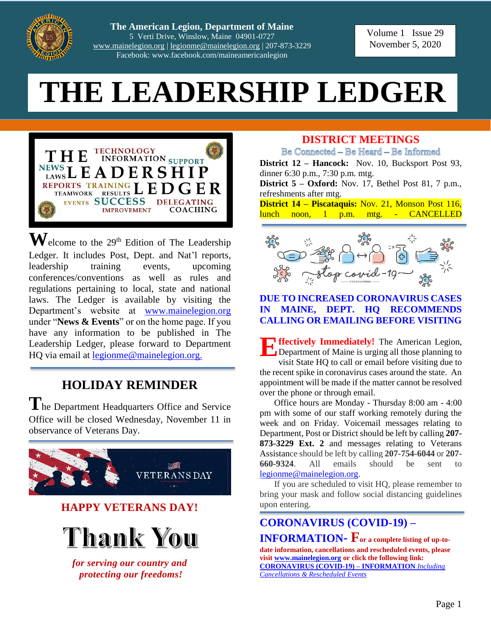

**The American Legion, Department of Maine** 5 Verti Drive, Winslow, Maine 04901-0727 [www.mainelegion.org](http://www.mainelegion.org/) [| legionme@mainelegion.org](mailto:legionme@mainelegion.org) | 207-873-3229 Facebook: www.facebook.com/maineamericanlegion

#### Volume 1 Issue 29 November 5, 2020

# **THE LEADERSHIP LEDGER**



 $\mathbf{W}$ elcome to the 29<sup>th</sup> Edition of The Leadership Ledger. It includes Post, Dept. and Nat'l reports, leadership training events, upcoming conferences/conventions as well as rules and regulations pertaining to local, state and national laws. The Ledger is available by visiting the Department's website at [www.mainelegion.org](http://www.mainelegion.org/) under "**News & Events**" or on the home page. If you have any information to be published in The Leadership Ledger, please forward to Department HQ via email at [legionme@mainelegion.org.](mailto:legionme@mainelegion.org)

## **HOLIDAY REMINDER**

**T**he Department Headquarters Office and Service Office will be closed Wednesday, November 11 in observance of Veterans Day.



#### **DISTRICT MEETINGS**

Be Connected - Be Heard - Be Informed **District 12 – Hancock:** Nov. 10, Bucksport Post 93,

dinner 6:30 p.m., 7:30 p.m. mtg. **District 5 – Oxford:** Nov. 17, Bethel Post 81, 7 p.m.,

refreshments after mtg.

**District 14 – Piscataquis:** Nov. 21, Monson Post 116, lunch noon, 1 p.m. mtg. - CANCELLED



#### **DUE TO INCREASED CORONAVIRUS CASES IN MAINE, DEPT. HQ RECOMMENDS CALLING OR EMAILING BEFORE VISITING**

**ffectively Immediately!** The American Legion, Department of Maine is urging all those planning to visit State HQ to call or email before visiting due to the recent spike in coronavirus cases around the state. An appointment will be made if the matter cannot be resolved over the phone or through email. **E**

Office hours are Monday - Thursday 8:00 am - 4:00 pm with some of our staff working remotely during the week and on Friday. Voicemail messages relating to Department, Post or District should be left by calling **207- 873-3229 Ext. 2** and messages relating to Veterans Assistance should be left by calling **207-754-6044** or **207- 660-9324**. All emails should be sent to [legionme@mainelegion.org.](mailto:legionme@mainelegion.org)

If you are scheduled to visit HQ, please remember to bring your mask and follow social distancing guidelines upon entering.

#### **[CORONAVIRUS \(COVID-19\) –](http://www.mainelegion.org/pages/news-events/covid-19-info.php)**

**[INFORMATION](http://www.mainelegion.org/pages/news-events/covid-19-info.php)- For a complete listing of up-todate information, cancellations and rescheduled events, please visit [www.mainelegion.org](http://www.mainelegion.org/) or click the following link: [CORONAVIRUS \(COVID-19\) –](http://www.mainelegion.org/pages/news-events/covid-19-info.php) INFORMATION** *Including [Cancellations & Rescheduled Events](http://www.mainelegion.org/pages/news-events/covid-19-info.php)*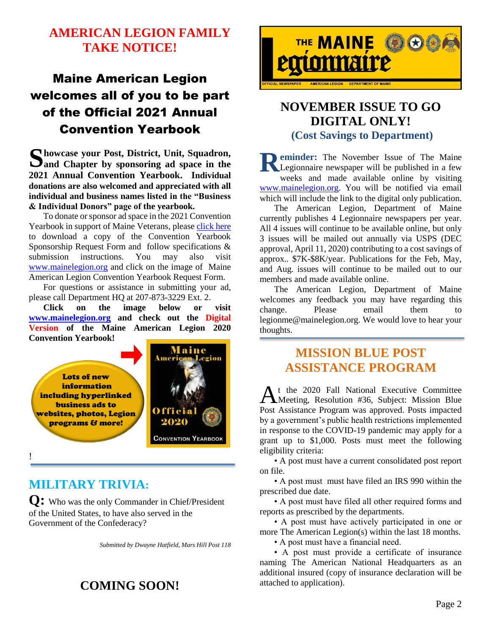#### **AMERICAN LEGION FAMILY TAKE NOTICE!**

# Maine American Legion welcomes all of you to be part of the Official 2021 Annual Convention Yearbook

**howcase your Post, District, Unit, Squadron, and Chapter by sponsoring ad space in the 2021 Annual Convention Yearbook. Individual donations are also welcomed and appreciated with all individual and business names listed in the "Business & Individual Donors" page of the yearbook. S** howcase your Post, District, Unit, Squadron,<br>
and Chapter by sponsoring ad space in the<br>
2021 Annual Convention Vearbook Individual

To donate or sponsor ad space in the 2021 Convention Yearbook in support of Maine Veterans, please [click](http://www.mainelegion.org/media/YEARBOOK/Maine_AL_Convention_Yearbook_Sponsorship_Req._Form11_FILLABLE.pdf) here to download a copy of the Convention Yearbook Sponsorship Request Form and follow specifications & submission instructions. You may also visit [www.mainelegion.org](http://www.mainelegion.org/) and click on the image of Maine American Legion Convention Yearbook Request Form.

For questions or assistance in submitting your ad, please call Department HQ at 207-873-3229 Ext. 2.

**Click on the image below or visit [www.mainelegion.org](http://www.mainelegion.org/) and check out the Digital Version of the Maine American Legion 2020 Convention Yearbook!**



!

#### **MILITARY TRIVIA:**

**Q:** Who was the only Commander in Chief/President of the United States, to have also served in the Government of the Confederacy?

*Submitted by Dwayne Hatfield, Mars Hill Post 118*

## **COMING SOON!**



#### **NOVEMBER ISSUE TO GO DIGITAL ONLY! (Cost Savings to Department)**

**eminder:** The November Issue of The Maine Legionnaire newspaper will be published in a few weeks and made available online by visiting [www.mainelegion.org.](http://www.mainelegion.org/) You will be notified via email which will include the link to the digital only publication.

The American Legion, Department of Maine currently publishes 4 Legionnaire newspapers per year. All 4 issues will continue to be available online, but only 3 issues will be mailed out annually via USPS (DEC approval, April 11, 2020) contributing to a cost savings of approx.. \$7K-\$8K/year. Publications for the Feb, May, and Aug. issues will continue to be mailed out to our members and made available online.

The American Legion, Department of Maine welcomes any feedback you may have regarding this change. Please email them to legionme@mainelegion.org. We would love to hear your thoughts.

#### **MISSION BLUE POST ASSISTANCE PROGRAM**

t the 2020 Fall National Executive Committee At the 2020 Fall National Executive Committee<br>Meeting, Resolution #36, Subject: Mission Blue Post Assistance Program was approved. Posts impacted by a government's public health restrictions implemented in response to the COVID-19 pandemic may apply for a grant up to \$1,000. Posts must meet the following eligibility criteria:

• A post must have a current consolidated post report on file.

• A post must must have filed an IRS 990 within the prescribed due date.

• A post must have filed all other required forms and reports as prescribed by the departments.

• A post must have actively participated in one or more The American Legion(s) within the last 18 months.

• A post must have a financial need.

• A post must provide a certificate of insurance naming The American National Headquarters as an additional insured (copy of insurance declaration will be attached to application).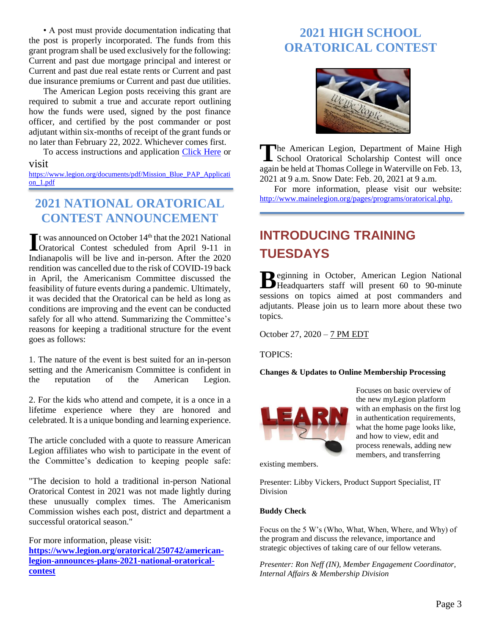• A post must provide documentation indicating that the post is properly incorporated. The funds from this grant program shall be used exclusively for the following: Current and past due mortgage principal and interest or Current and past due real estate rents or Current and past due insurance premiums or Current and past due utilities.

The American Legion posts receiving this grant are required to submit a true and accurate report outlining how the funds were used, signed by the post finance officer, and certified by the post commander or post adjutant within six-months of receipt of the grant funds or no later than February 22, 2022. Whichever comes first.

To access instructions and application [Click Here](https://www.legion.org/documents/pdf/Mission_Blue_PAP_Application_1.pdf) or

#### visit

[https://www.legion.org/documents/pdf/Mission\\_Blue\\_PAP\\_Applicati](https://www.legion.org/documents/pdf/Mission_Blue_PAP_Application_1.pdf) [on\\_1.pdf](https://www.legion.org/documents/pdf/Mission_Blue_PAP_Application_1.pdf)

#### **2021 NATIONAL ORATORICAL CONTEST ANNOUNCEMENT**

It was announced on October  $14<sup>th</sup>$  that the 2021 National If was announced on October 14<sup>th</sup> that the 2021 National<br>Oratorical Contest scheduled from April 9-11 in Indianapolis will be live and in-person. After the 2020 rendition was cancelled due to the risk of COVID-19 back in April, the Americanism Committee discussed the feasibility of future events during a pandemic. Ultimately, it was decided that the Oratorical can be held as long as conditions are improving and the event can be conducted safely for all who attend. Summarizing the Committee's reasons for keeping a traditional structure for the event goes as follows:

1. The nature of the event is best suited for an in-person setting and the Americanism Committee is confident in the reputation of the American Legion.

2. For the kids who attend and compete, it is a once in a lifetime experience where they are honored and celebrated. It is a unique bonding and learning experience.

The article concluded with a quote to reassure American Legion affiliates who wish to participate in the event of the Committee's dedication to keeping people safe:

"The decision to hold a traditional in-person National Oratorical Contest in 2021 was not made lightly during these unusually complex times. The Americanism Commission wishes each post, district and department a successful oratorical season."

For more information, please visit: **[https://www.legion.org/oratorical/250742/american](https://www.legion.org/oratorical/250742/american-legion-announces-plans-2021-national-oratorical-contest)[legion-announces-plans-2021-national-oratorical](https://www.legion.org/oratorical/250742/american-legion-announces-plans-2021-national-oratorical-contest)[contest](https://www.legion.org/oratorical/250742/american-legion-announces-plans-2021-national-oratorical-contest)**

## **2021 HIGH SCHOOL ORATORICAL CONTEST**



The American Legion, Department of Maine High The American Legion, Department of Maine High School Oratorical Scholarship Contest will once again be held at Thomas College in Waterville on Feb. 13, 2021 at 9 a.m. Snow Date: Feb. 20, 2021 at 9 a.m.

For more information, please visit our website: [http://www.mainelegion.org/pages/programs/oratorical.php.](http://www.mainelegion.org/pages/programs/oratorical.php)

# **INTRODUCING TRAINING TUESDAYS**

eginning in October, American Legion National Beginning in October, American Legion National<br>Headquarters staff will present 60 to 90-minute sessions on topics aimed at post commanders and adjutants. Please join us to learn more about these two topics.

October 27, 2020 – 7 PM EDT

TOPICS:

**Changes & Updates to Online Membership Processing**



Focuses on basic overview of the new myLegion platform with an emphasis on the first log in authentication requirements, what the home page looks like, and how to view, edit and process renewals, adding new members, and transferring

[existing members.](https://teams.microsoft.com/l/meetup-join/19:meeting_MzE0YWQ0NTktOWMzZS00NmVkLTllZmUtYmM1ODI3ODdhOGNk@thread.v2/0?context={"Tid":"dd9d243c-8688-470f-8812-4ceb7ac50b6c","Oid":"225ac6e5-0295-4708-8822-75d7509ba33a","IsBroadcastMeeting":true})

Presenter: Libby Vickers, Product Support Specialist, IT Division

#### **Buddy Check**

Focus on the 5 W's (Who, What, When, Where, and Why) of the program and discuss the relevance, importance and strategic objectives of taking care of our fellow veterans.

*Presenter: Ron Neff (IN), Member Engagement Coordinator, Internal Affairs & Membership Division*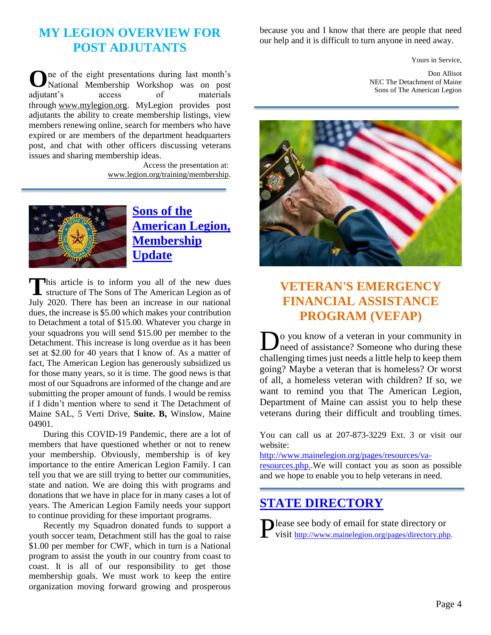#### **MY LEGION OVERVIEW FOR POST ADJUTANTS**

ne of the eight presentations during last month's **O** National Membership Workshop was on post adjutant's access of materials through [www.mylegion.org.](http://www.mylegion.org/) MyLegion provides post adjutants the ability to create membership listings, view members renewing online, search for members who have expired or are members of the department headquarters post, and chat with other officers discussing veterans issues and sharing membership ideas.

> Access the presentation at: [www.legion.org/training/membership.](http://www.legion.org/training/membership)



**Sons [of the](https://www.legion.org/sons)  [American Legion,](https://www.legion.org/sons)  [Membership](https://www.legion.org/sons)  [Update](https://www.legion.org/sons)**

his article is to inform you all of the new dues This article is to inform you all of the new dues structure of The Sons of The American Legion as of July 2020. There has been an increase in our national dues, the increase is \$5.00 which makes your contribution to Detachment a total of \$15.00. Whatever you charge in your squadrons you will send \$15.00 per member to the Detachment. This increase is long overdue as it has been set at \$2.00 for 40 years that I know of. As a matter of fact, The American Legion has generously subsidized us for those many years, so it is time. The good news is that most of our Squadrons are informed of the change and are submitting the proper amount of funds. I would be remiss if I didn't mention where to send it The Detachment of Maine SAL, 5 Verti Drive, **Suite. B,** Winslow, Maine 04901.

During this COVID-19 Pandemic, there are a lot of members that have questioned whether or not to renew your membership. Obviously, membership is of key importance to the entire American Legion Family. I can tell you that we are still trying to better our communities, state and nation. We are doing this with programs and donations that we have in place for in many cases a lot of years. The American Legion Family needs your support to continue providing for these important programs.

Recently my Squadron donated funds to support a youth soccer team, Detachment still has the goal to raise \$1.00 per member for CWF, which in turn is a National program to assist the youth in our country from coast to coast. It is all of our responsibility to get those membership goals. We must work to keep the entire organization moving forward growing and prosperous

because you and I know that there are people that need our help and it is difficult to turn anyone in need away.

Yours in Service,

Don Allisot NEC The Detachment of Maine Sons of The American Legion



# **VETERAN'S EMERGENCY FINANCIAL ASSISTANCE PROGRAM (VEFAP)**

**D**<sup>o</sup> you know of a veteran in your community in need of assistance? Someone who during these need of assistance? Someone who during these challenging times just needs a little help to keep them going? Maybe a veteran that is homeless? Or worst of all, a homeless veteran with children? If so, we want to remind you that The American Legion, Department of Maine can assist you to help these veterans during their difficult and troubling times.

You can call us at 207-873-3229 Ext. 3 or visit our website:

[http://www.mainelegion.org/pages/resources/va](http://www.mainelegion.org/pages/resources/va-resources.php.)[resources.php..](http://www.mainelegion.org/pages/resources/va-resources.php.)We will contact you as soon as possible and we hope to enable you to help veterans in need.

#### **[STATE DIRECTORY](http://www.mainelegion.org/pages/directory.php)**

**Nease see body of email for state directory or** Please see body of email for state directory or visit [http://www.mainelegion.org/pages/directory.php.](http://www.mainelegion.org/pages/directory.php)